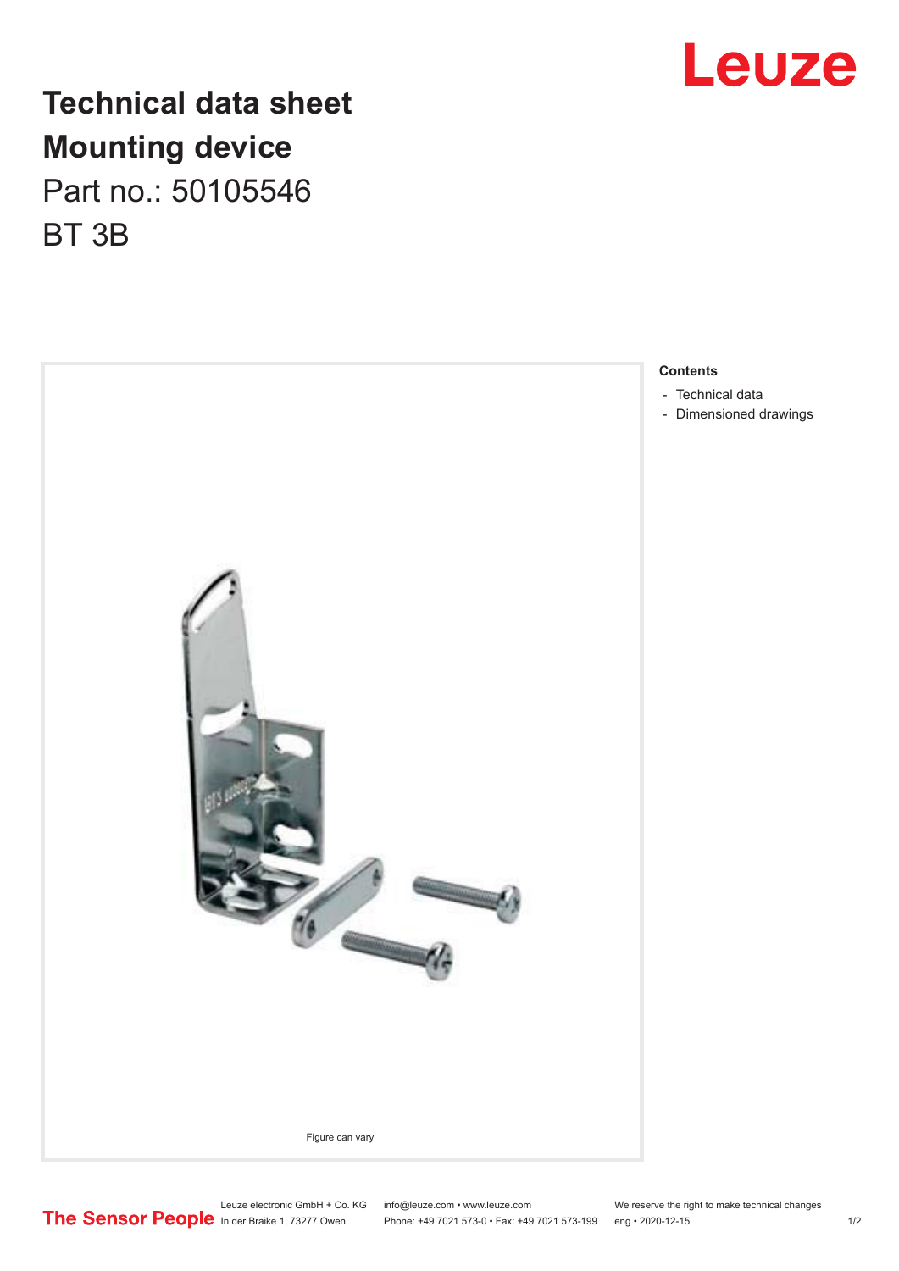

## **Technical data sheet Mounting device** Part no.: 50105546 BT 3B



Leuze electronic GmbH + Co. KG info@leuze.com • www.leuze.com We reserve the right to make technical changes<br>
The Sensor People in der Braike 1, 73277 Owen Phone: +49 7021 573-0 • Fax: +49 7021 573-199 eng • 2020-12-15